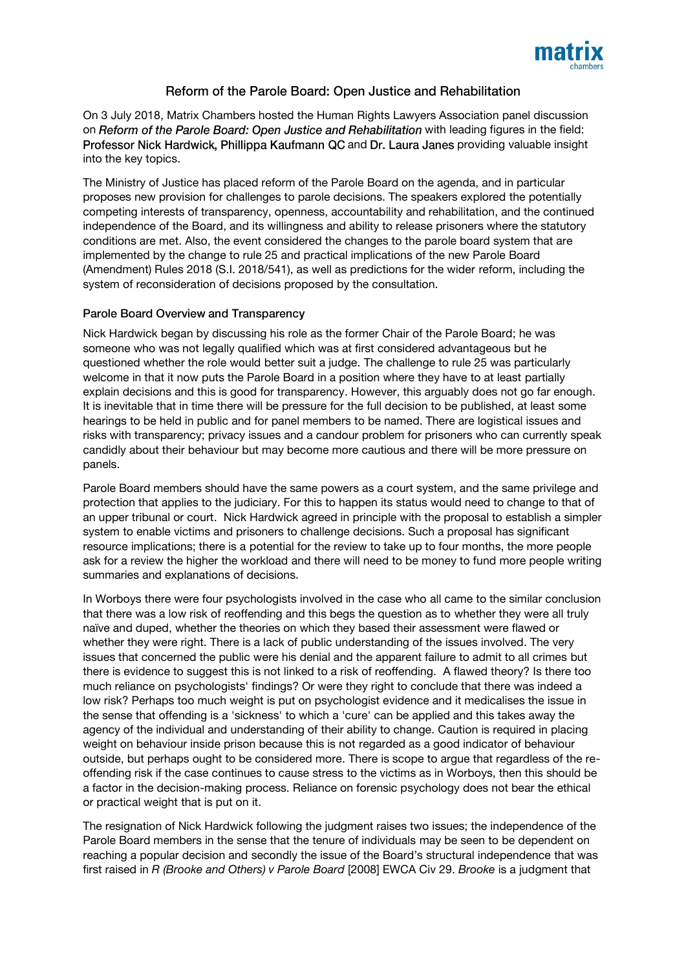

## Reform of the Parole Board: Open Justice and Rehabilitation

On 3 July 2018, Matrix Chambers hosted the Human Rights Lawyers Association panel discussion on Reform of the Parole Board: Open Justice and Rehabilitation with leading figures in the field: Professor Nick Hardwick, Phillippa Kaufmann QC and Dr. Laura Janes providing valuable insight into the key topics.

The Ministry of Justice has placed reform of the Parole Board on the agenda, and in particular proposes new provision for challenges to parole decisions. The speakers explored the potentially competing interests of transparency, openness, accountability and rehabilitation, and the continued independence of the Board, and its willingness and ability to release prisoners where the statutory conditions are met. Also, the event considered the changes to the parole board system that are implemented by the change to rule 25 and practical implications of the new Parole Board (Amendment) Rules 2018 (S.I. 2018/541), as well as predictions for the wider reform, including the system of reconsideration of decisions proposed by the consultation.

## Parole Board Overview and Transparency

Nick Hardwick began by discussing his role as the former Chair of the Parole Board; he was someone who was not legally qualified which was at first considered advantageous but he questioned whether the role would better suit a judge. The challenge to rule 25 was particularly welcome in that it now puts the Parole Board in a position where they have to at least partially explain decisions and this is good for transparency. However, this arguably does not go far enough. It is inevitable that in time there will be pressure for the full decision to be published, at least some hearings to be held in public and for panel members to be named. There are logistical issues and risks with transparency; privacy issues and a candour problem for prisoners who can currently speak candidly about their behaviour but may become more cautious and there will be more pressure on panels.

Parole Board members should have the same powers as a court system, and the same privilege and protection that applies to the judiciary. For this to happen its status would need to change to that of an upper tribunal or court. Nick Hardwick agreed in principle with the proposal to establish a simpler system to enable victims and prisoners to challenge decisions. Such a proposal has significant resource implications; there is a potential for the review to take up to four months, the more people ask for a review the higher the workload and there will need to be money to fund more people writing summaries and explanations of decisions.

In Worboys there were four psychologists involved in the case who all came to the similar conclusion that there was a low risk of reoffending and this begs the question as to whether they were all truly naïve and duped, whether the theories on which they based their assessment were flawed or whether they were right. There is a lack of public understanding of the issues involved. The very issues that concerned the public were his denial and the apparent failure to admit to all crimes but there is evidence to suggest this is not linked to a risk of reoffending. A flawed theory? Is there too much reliance on psychologists' findings? Or were they right to conclude that there was indeed a low risk? Perhaps too much weight is put on psychologist evidence and it medicalises the issue in the sense that offending is a 'sickness' to which a 'cure' can be applied and this takes away the agency of the individual and understanding of their ability to change. Caution is required in placing weight on behaviour inside prison because this is not regarded as a good indicator of behaviour outside, but perhaps ought to be considered more. There is scope to argue that regardless of the reoffending risk if the case continues to cause stress to the victims as in Worboys, then this should be a factor in the decision-making process. Reliance on forensic psychology does not bear the ethical or practical weight that is put on it.

The resignation of Nick Hardwick following the judgment raises two issues; the independence of the Parole Board members in the sense that the tenure of individuals may be seen to be dependent on reaching a popular decision and secondly the issue of the Board's structural independence that was first raised in *R (Brooke and Others) v Parole Board* [2008] EWCA Civ 29. *Brooke* is a judgment that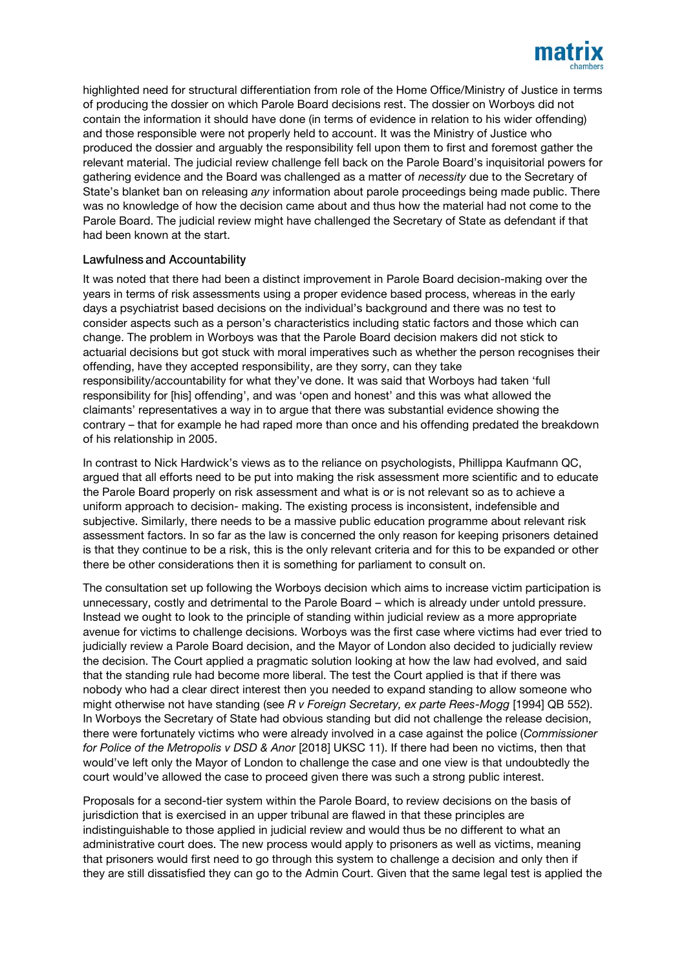

highlighted need for structural differentiation from role of the Home Office/Ministry of Justice in terms of producing the dossier on which Parole Board decisions rest. The dossier on Worboys did not contain the information it should have done (in terms of evidence in relation to his wider offending) and those responsible were not properly held to account. It was the Ministry of Justice who produced the dossier and arguably the responsibility fell upon them to first and foremost gather the relevant material. The judicial review challenge fell back on the Parole Board's inquisitorial powers for gathering evidence and the Board was challenged as a matter of *necessity* due to the Secretary of State's blanket ban on releasing *any* information about parole proceedings being made public. There was no knowledge of how the decision came about and thus how the material had not come to the Parole Board. The judicial review might have challenged the Secretary of State as defendant if that had been known at the start.

## **Lawfulness and Accountability**

It was noted that there had been a distinct improvement in Parole Board decision-making over the years in terms of risk assessments using a proper evidence based process, whereas in the early days a psychiatrist based decisions on the individual's background and there was no test to consider aspects such as a person's characteristics including static factors and those which can change. The problem in Worboys was that the Parole Board decision makers did not stick to actuarial decisions but got stuck with moral imperatives such as whether the person recognises their offending, have they accepted responsibility, are they sorry, can they take responsibility/accountability for what they've done. It was said that Worboys had taken 'full responsibility for [his] offending', and was 'open and honest' and this was what allowed the claimants' representatives a way in to argue that there was substantial evidence showing the contrary – that for example he had raped more than once and his offending predated the breakdown of his relationship in 2005.

In contrast to Nick Hardwick's views as to the reliance on psychologists, Phillippa Kaufmann QC, argued that all efforts need to be put into making the risk assessment more scientific and to educate the Parole Board properly on risk assessment and what is or is not relevant so as to achieve a uniform approach to decision- making. The existing process is inconsistent, indefensible and subjective. Similarly, there needs to be a massive public education programme about relevant risk assessment factors. In so far as the law is concerned the only reason for keeping prisoners detained is that they continue to be a risk, this is the only relevant criteria and for this to be expanded or other there be other considerations then it is something for parliament to consult on.

The consultation set up following the Worboys decision which aims to increase victim participation is unnecessary, costly and detrimental to the Parole Board – which is already under untold pressure. Instead we ought to look to the principle of standing within judicial review as a more appropriate avenue for victims to challenge decisions. Worboys was the first case where victims had ever tried to judicially review a Parole Board decision, and the Mayor of London also decided to judicially review the decision. The Court applied a pragmatic solution looking at how the law had evolved, and said that the standing rule had become more liberal. The test the Court applied is that if there was nobody who had a clear direct interest then you needed to expand standing to allow someone who might otherwise not have standing (see *R v Foreign Secretary, ex parte Rees-Mogg* [1994] QB 552). In Worboys the Secretary of State had obvious standing but did not challenge the release decision, there were fortunately victims who were already involved in a case against the police (*Commissioner for Police of the Metropolis v DSD & Anor* [2018] UKSC 11). If there had been no victims, then that would've left only the Mayor of London to challenge the case and one view is that undoubtedly the court would've allowed the case to proceed given there was such a strong public interest.

Proposals for a second-tier system within the Parole Board, to review decisions on the basis of jurisdiction that is exercised in an upper tribunal are flawed in that these principles are indistinguishable to those applied in judicial review and would thus be no different to what an administrative court does. The new process would apply to prisoners as well as victims, meaning that prisoners would first need to go through this system to challenge a decision and only then if they are still dissatisfied they can go to the Admin Court. Given that the same legal test is applied the